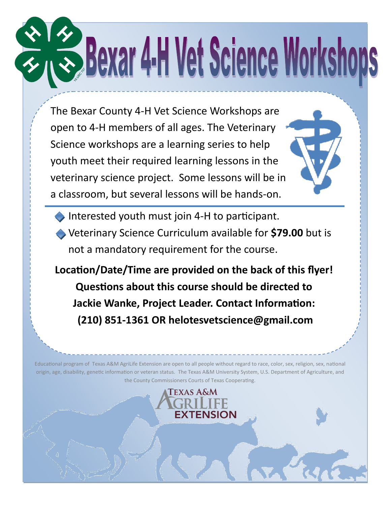## **Trees Bexar 4-H Vet Science Workshops**

The Bexar County 4-H Vet Science Workshops are open to 4-H members of all ages. The Veterinary Science workshops are a learning series to help youth meet their required learning lessons in the veterinary science project. Some lessons will be in a classroom, but several lessons will be hands-on.

Interested youth must join 4-H to participant.

Veterinary Science Curriculum available for **\$79.00** but is not a mandatory requirement for the course.

**Location/Date/Time are provided on the back of this flyer! Questions about this course should be directed to Jackie Wanke, Project Leader. Contact Information: (210) 851-1361 OR helotesvetscience@gmail.com**

Educational program of Texas A&M AgriLife Extension are open to all people without regard to race, color, sex, religion, sex, national origin, age, disability, genetic information or veteran status. The Texas A&M University System, U.S. Department of Agriculture, and the County Commissioners Courts of Texas Cooperating.